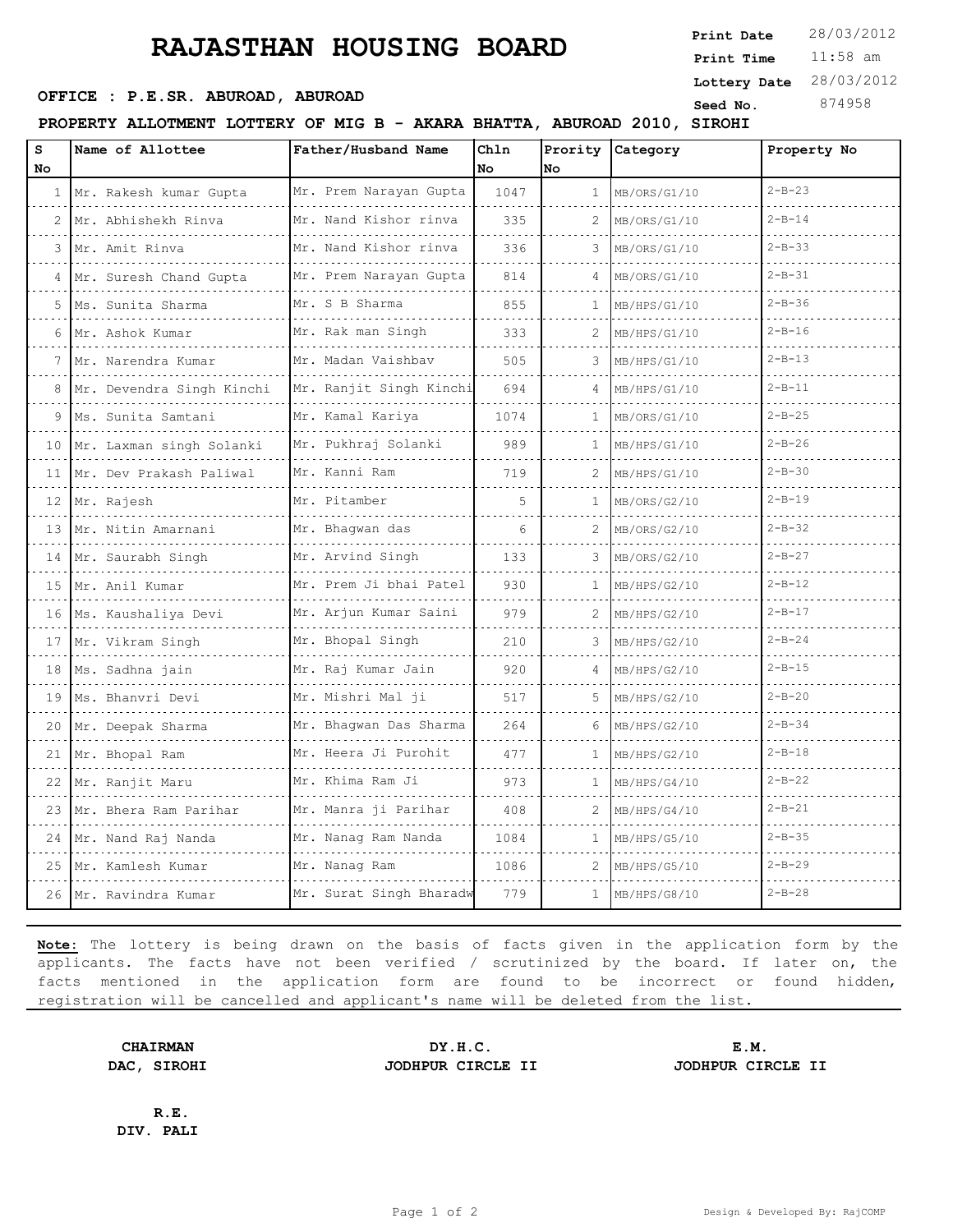## **RAJASTHAN HOUSING BOARD**

**PROPERTY ALLOTMENT LOTTERY OF MIG B - AKARA BHATTA, ABUROAD 2010, SIROHI**

| s  | Name of Allottee          | Father/Husband Name                    | Chln | Prority Category |              | Property No  |
|----|---------------------------|----------------------------------------|------|------------------|--------------|--------------|
| No |                           |                                        | No   | No               |              |              |
|    | 1 Mr. Rakesh kumar Gupta  | Mr. Prem Narayan Gupta                 | 1047 | $\mathbf{1}$     | MB/ORS/G1/10 | $2 - B - 23$ |
|    | Mr. Abhishekh Rinva       | Mr. Nand Kishor rinva                  | 335  | 2                | MB/ORS/G1/10 | $2 - B - 14$ |
| 3  | Mr. Amit Rinva<br>.       | Mr. Nand Kishor rinva<br>.             | 336  | 3                | MB/ORS/G1/10 | $2 - B - 33$ |
| 4  | Mr. Suresh Chand Gupta    | Mr. Prem Narayan Gupta                 | 814  | 4                | MB/ORS/G1/10 | $2 - B - 31$ |
| 5. | Ms. Sunita Sharma         | Mr. S B Sharma                         | 855  | $\mathbf{1}$     | MB/HPS/G1/10 | $2 - B - 36$ |
| 6  | Mr. Ashok Kumar           | Mr. Rak man Singh                      | 333  | 2                | MB/HPS/G1/10 | $2 - B - 16$ |
|    | Mr. Narendra Kumar        | Mr. Madan Vaishbav                     | 505  | 3                | MB/HPS/G1/10 | $2 - B - 13$ |
| 8  | Mr. Devendra Singh Kinchi | Mr. Ranjit Singh Kinchi                | 694  | 4                | MB/HPS/G1/10 | $2 - B - 11$ |
|    | Ms. Sunita Samtani        | Mr. Kamal Kariya                       | 1074 | 1                | MB/ORS/G1/10 | $2 - B - 25$ |
| 10 | Mr. Laxman singh Solanki  | Mr. Pukhraj Solanki                    | 989  | 1                | MB/HPS/G1/10 | $2 - B - 26$ |
| 11 | Mr. Dev Prakash Paliwal   | Mr. Kanni Ram                          | 719  | 2                | MB/HPS/G1/10 | $2 - B - 30$ |
| 12 | Mr. Rajesh                | Mr. Pitamber                           | 5    | $\mathbf{1}$     | MB/ORS/G2/10 | $2 - B - 19$ |
| 13 | Mr. Nitin Amarnani        | Mr. Bhaqwan das                        | 6    |                  | MB/ORS/G2/10 | $2 - B - 32$ |
| 14 | Mr. Saurabh Singh         | Mr. Arvind Singh                       | 133  | 3                | MB/ORS/G2/10 | $2 - B - 27$ |
| 15 | Mr. Anil Kumar            | Mr. Prem Ji bhai Patel<br>. <u>.</u> . | 930  | $\mathbf{1}$     | MB/HPS/G2/10 | $2 - B - 12$ |
| 16 | Ms. Kaushaliya Devi       | Mr. Arjun Kumar Saini                  | 979  | 2                | MB/HPS/G2/10 | $2 - B - 17$ |
| 17 | Mr. Vikram Singh          | Mr. Bhopal Singh                       | 210  | 3                | MB/HPS/G2/10 | $2 - B - 24$ |
| 18 | Ms. Sadhna jain           | Mr. Raj Kumar Jain                     | 920  | 4                | MB/HPS/G2/10 | $2 - B - 15$ |
| 19 | Ms. Bhanvri Devi          | Mr. Mishri Mal ji                      | 517  | 5                | MB/HPS/G2/10 | $2 - B - 20$ |
| 20 | Mr. Deepak Sharma         | Mr. Bhagwan Das Sharma                 | 264  | 6                | MB/HPS/G2/10 | $2 - B - 34$ |
| 21 | Mr. Bhopal Ram            | Mr. Heera Ji Purohit                   | 477  | $\mathbf{1}$     | MB/HPS/G2/10 | $2 - B - 18$ |
| 22 | Mr. Ranjit Maru           | Mr. Khima Ram Ji                       | 973  | 1                | MB/HPS/G4/10 | $2 - B - 22$ |
|    | 23 Mr. Bhera Ram Parihar  | Mr. Manra ji Parihar                   | 408  | 2.               | MB/HPS/G4/10 | $2 - B - 21$ |
|    | 24 Mr. Nand Raj Nanda     | Mr. Nanag Ram Nanda                    | 1084 | $\mathbf{1}$     | MB/HPS/G5/10 | $2 - B - 35$ |
| 25 | Mr. Kamlesh Kumar         | Mr. Nanag Ram                          | 1086 | 2                | MB/HPS/G5/10 | $2 - B - 29$ |
|    | 26 Mr. Ravindra Kumar     | Mr. Surat Singh Bharadw                | 779  | $\mathbf{1}$     | MB/HPS/G8/10 | $2 - B - 28$ |

**Note:** The lottery is being drawn on the basis of facts given in the application form by the applicants. The facts have not been verified / scrutinized by the board. If later on, the facts mentioned in the application form are found to be incorrect or found hidden, registration will be cancelled and applicant's name will be deleted from the list.

**CHAIRMAN DY.H.C. E.M. DAC, SIROHI JODHPUR CIRCLE II JODHPUR CIRCLE II**

**R.E. DIV. PALI**

11:58 am **Print Time Print Date**  $28/03/2012$ **OFFICE : P.E.SR. ABUROAD, ABUROAD Seed No.** 874958 **Lottery Date** 28/03/2012